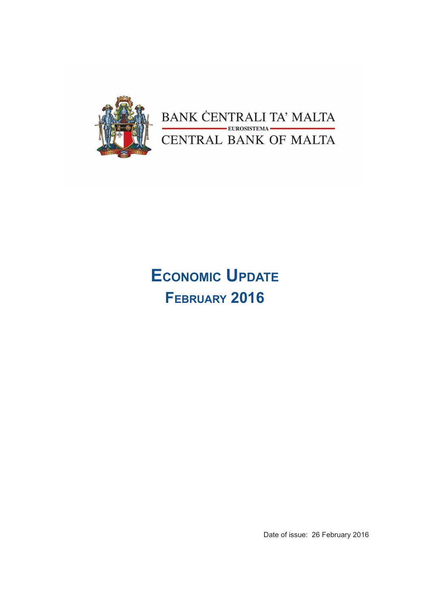

BANK CENTRALI TA' MALTA EUROSISTEMA CENTRAL BANK OF MALTA

# **Economic Update February 2016**

Date of issue: 26 February 2016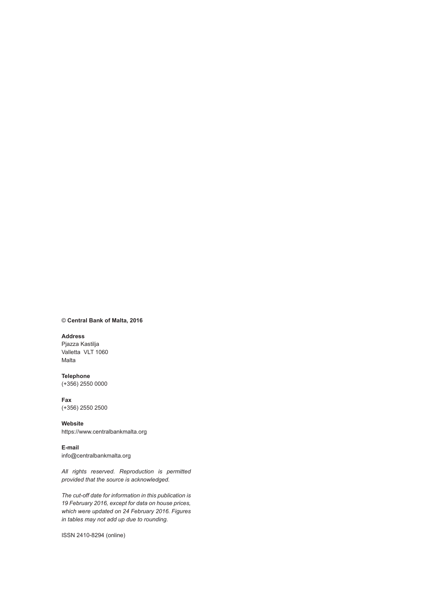#### © **Central Bank of Malta, 2016**

#### **Address**

Pjazza Kastilja Valletta VLT 1060 Malta

**Telephone** (+356) 2550 0000

**Fax** (+356) 2550 2500

**Website** https://www.centralbankmalta.org

**E-mail**  info@centralbankmalta.org

*All rights reserved. Reproduction is permitted provided that the source is acknowledged.* 

*The cut-off date for information in this publication is 19 February 2016, except for data on house prices, which were updated on 24 February 2016. Figures in tables may not add up due to rounding.*

ISSN 2410-8294 (online)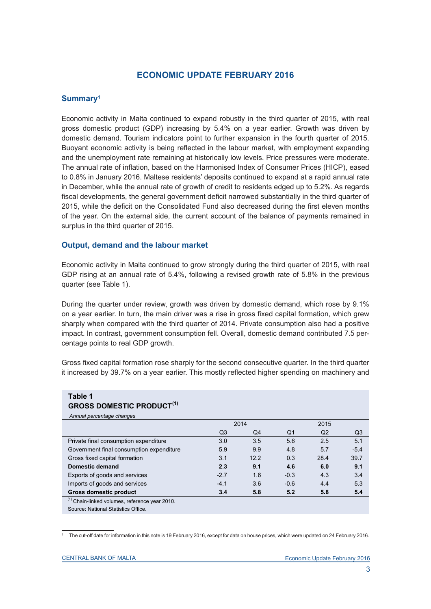# **ECONOMIC UPDATE FEBRUARY 2016**

## **Summary1**

Economic activity in Malta continued to expand robustly in the third quarter of 2015, with real gross domestic product (GDP) increasing by 5.4% on a year earlier. Growth was driven by domestic demand. Tourism indicators point to further expansion in the fourth quarter of 2015. Buoyant economic activity is being reflected in the labour market, with employment expanding and the unemployment rate remaining at historically low levels. Price pressures were moderate. The annual rate of inflation, based on the Harmonised Index of Consumer Prices (HICP), eased to 0.8% in January 2016. Maltese residents' deposits continued to expand at a rapid annual rate in December, while the annual rate of growth of credit to residents edged up to 5.2%. As regards fiscal developments, the general government deficit narrowed substantially in the third quarter of 2015, while the deficit on the Consolidated Fund also decreased during the first eleven months of the year. On the external side, the current account of the balance of payments remained in surplus in the third quarter of 2015.

## **Output, demand and the labour market**

Economic activity in Malta continued to grow strongly during the third quarter of 2015, with real GDP rising at an annual rate of 5.4%, following a revised growth rate of 5.8% in the previous quarter (see Table 1).

During the quarter under review, growth was driven by domestic demand, which rose by 9.1% on a year earlier. In turn, the main driver was a rise in gross fixed capital formation, which grew sharply when compared with the third quarter of 2014. Private consumption also had a positive impact. In contrast, government consumption fell. Overall, domestic demand contributed 7.5 percentage points to real GDP growth.

Gross fixed capital formation rose sharply for the second consecutive quarter. In the third quarter it increased by 39.7% on a year earlier. This mostly reflected higher spending on machinery and

| Table 1<br><b>GROSS DOMESTIC PRODUCT(1)</b>               |                |      |                |                |                |  |  |  |  |
|-----------------------------------------------------------|----------------|------|----------------|----------------|----------------|--|--|--|--|
| Annual percentage changes                                 |                |      |                |                |                |  |  |  |  |
|                                                           |                | 2014 | 2015           |                |                |  |  |  |  |
|                                                           | Q <sub>3</sub> | Q4   | Q <sub>1</sub> | Q <sub>2</sub> | Q <sub>3</sub> |  |  |  |  |
| Private final consumption expenditure                     | 3.0            | 3.5  | 5.6            | 2.5            | 5.1            |  |  |  |  |
| Government final consumption expenditure                  | 5.9            | 9.9  | 4.8            | 5.7            | $-5.4$         |  |  |  |  |
| Gross fixed capital formation                             | 3.1            | 12.2 | 0.3            | 28.4           | 39.7           |  |  |  |  |
| Domestic demand                                           | 2.3            | 9.1  | 4.6            | 6.0            | 9.1            |  |  |  |  |
| Exports of goods and services                             | $-2.7$         | 1.6  | $-0.3$         | 4.3            | 3.4            |  |  |  |  |
| Imports of goods and services                             | $-4.1$         | 3.6  | $-0.6$         | 4.4            | 5.3            |  |  |  |  |
| <b>Gross domestic product</b>                             | 3.4            | 5.8  | 5.2            | 5.8            | 5.4            |  |  |  |  |
| <sup>(1)</sup> Chain-linked volumes, reference year 2010. |                |      |                |                |                |  |  |  |  |
| Source: National Statistics Office.                       |                |      |                |                |                |  |  |  |  |

<sup>1</sup> The cut-off date for information in this note is 19 February 2016, except for data on house prices, which were updated on 24 February 2016.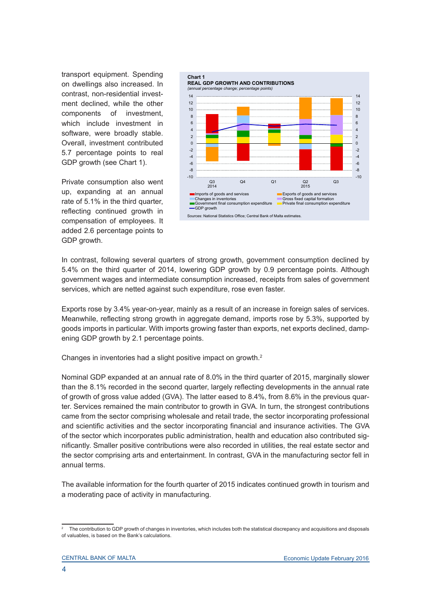transport equipment. Spending on dwellings also increased. In contrast, non-residential investment declined, while the other components of investment, which include investment in software, were broadly stable. Overall, investment contributed 5.7 percentage points to real GDP growth (see Chart 1).

Private consumption also went up, expanding at an annual rate of 5.1% in the third quarter, reflecting continued growth in compensation of employees. It added 2.6 percentage points to GDP growth.



In contrast, following several quarters of strong growth, government consumption declined by 5.4% on the third quarter of 2014, lowering GDP growth by 0.9 percentage points. Although government wages and intermediate consumption increased, receipts from sales of government services, which are netted against such expenditure, rose even faster.

Exports rose by 3.4% year-on-year, mainly as a result of an increase in foreign sales of services. Meanwhile, reflecting strong growth in aggregate demand, imports rose by 5.3%, supported by goods imports in particular. With imports growing faster than exports, net exports declined, dampening GDP growth by 2.1 percentage points.

Changes in inventories had a slight positive impact on growth.<sup>2</sup>

Nominal GDP expanded at an annual rate of 8.0% in the third quarter of 2015, marginally slower than the 8.1% recorded in the second quarter, largely reflecting developments in the annual rate of growth of gross value added (GVA). The latter eased to 8.4%, from 8.6% in the previous quarter. Services remained the main contributor to growth in GVA. In turn, the strongest contributions came from the sector comprising wholesale and retail trade, the sector incorporating professional and scientific activities and the sector incorporating financial and insurance activities. The GVA of the sector which incorporates public administration, health and education also contributed significantly. Smaller positive contributions were also recorded in utilities, the real estate sector and the sector comprising arts and entertainment. In contrast, GVA in the manufacturing sector fell in annual terms.

The available information for the fourth quarter of 2015 indicates continued growth in tourism and a moderating pace of activity in manufacturing.

<sup>2</sup> The contribution to GDP growth of changes in inventories, which includes both the statistical discrepancy and acquisitions and disposals of valuables, is based on the Bank's calculations.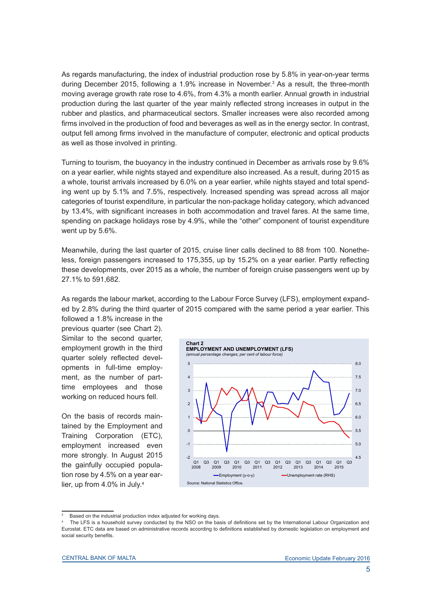As regards manufacturing, the index of industrial production rose by 5.8% in year-on-year terms during December 2015, following a 1.9% increase in November.<sup>3</sup> As a result, the three-month moving average growth rate rose to 4.6%, from 4.3% a month earlier. Annual growth in industrial production during the last quarter of the year mainly reflected strong increases in output in the rubber and plastics, and pharmaceutical sectors. Smaller increases were also recorded among firms involved in the production of food and beverages as well as in the energy sector. In contrast, output fell among firms involved in the manufacture of computer, electronic and optical products as well as those involved in printing.

Turning to tourism, the buoyancy in the industry continued in December as arrivals rose by 9.6% on a year earlier, while nights stayed and expenditure also increased. As a result, during 2015 as a whole, tourist arrivals increased by 6.0% on a year earlier, while nights stayed and total spending went up by 5.1% and 7.5%, respectively. Increased spending was spread across all major categories of tourist expenditure, in particular the non-package holiday category, which advanced by 13.4%, with significant increases in both accommodation and travel fares. At the same time, spending on package holidays rose by 4.9%, while the "other" component of tourist expenditure went up by 5.6%.

Meanwhile, during the last quarter of 2015, cruise liner calls declined to 88 from 100. Nonetheless, foreign passengers increased to 175,355, up by 15.2% on a year earlier. Partly reflecting these developments, over 2015 as a whole, the number of foreign cruise passengers went up by 27.1% to 591,682.

As regards the labour market, according to the Labour Force Survey (LFS), employment expanded by 2.8% during the third quarter of 2015 compared with the same period a year earlier. This

followed a 1.8% increase in the previous quarter (see Chart 2). Similar to the second quarter. employment growth in the third quarter solely reflected developments in full-time employment, as the number of parttime employees and those working on reduced hours fell.

On the basis of records maintained by the Employment and Training Corporation (ETC), employment increased even more strongly. In August 2015 the gainfully occupied population rose by 4.5% on a year earlier, up from 4.0% in July.4



<sup>3</sup> Based on the industrial production index adjusted for working days.

<sup>4</sup> The LFS is a household survey conducted by the NSO on the basis of definitions set by the International Labour Organization and Eurostat. ETC data are based on administrative records according to definitions established by domestic legislation on employment and social security benefits.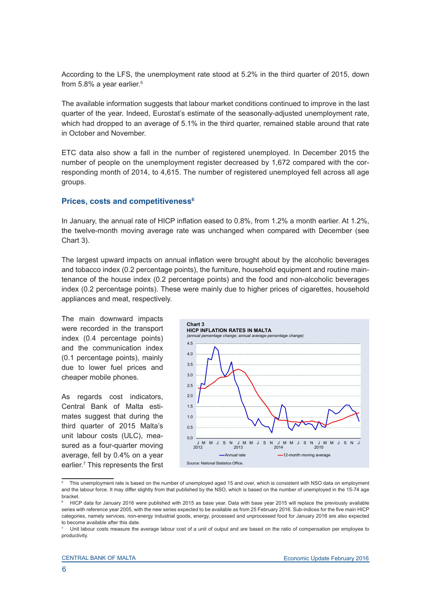According to the LFS, the unemployment rate stood at 5.2% in the third quarter of 2015, down from 5.8% a year earlier.<sup>5</sup>

The available information suggests that labour market conditions continued to improve in the last quarter of the year. Indeed, Eurostat's estimate of the seasonally-adjusted unemployment rate, which had dropped to an average of 5.1% in the third quarter, remained stable around that rate in October and November.

ETC data also show a fall in the number of registered unemployed. In December 2015 the number of people on the unemployment register decreased by 1,672 compared with the corresponding month of 2014, to 4,615. The number of registered unemployed fell across all age groups.

#### **Prices, costs and competitiveness<sup>6</sup>**

In January, the annual rate of HICP inflation eased to 0.8%, from 1.2% a month earlier. At 1.2%, the twelve-month moving average rate was unchanged when compared with December (see Chart 3).

The largest upward impacts on annual inflation were brought about by the alcoholic beverages and tobacco index (0.2 percentage points), the furniture, household equipment and routine maintenance of the house index (0.2 percentage points) and the food and non-alcoholic beverages index (0.2 percentage points). These were mainly due to higher prices of cigarettes, household appliances and meat, respectively.

The main downward impacts were recorded in the transport index (0.4 percentage points) and the communication index (0.1 percentage points), mainly due to lower fuel prices and cheaper mobile phones.

As regards cost indicators, Central Bank of Malta estimates suggest that during the third quarter of 2015 Malta's unit labour costs (ULC), measured as a four-quarter moving average, fell by 0.4% on a year earlier.7 This represents the first



<sup>5</sup> This unemployment rate is based on the number of unemployed aged 15 and over, which is consistent with NSO data on employment and the labour force. It may differ slightly from that published by the NSO, which is based on the number of unemployed in the 15-74 age bracket.

<sup>6</sup> HICP data for January 2016 were published with 2015 as base year. Data with base year 2015 will replace the previously available series with reference year 2005, with the new series expected to be available as from 25 February 2016. Sub-indices for the five main HICP categories, namely services, non-energy industrial goods, energy, processed and unprocessed food for January 2016 are also expected to become available after this date.

<sup>7</sup> Unit labour costs measure the average labour cost of a unit of output and are based on the ratio of compensation per employee to productivity.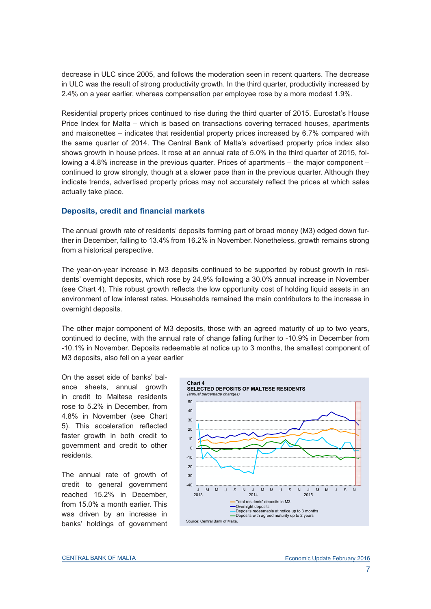decrease in ULC since 2005, and follows the moderation seen in recent quarters. The decrease in ULC was the result of strong productivity growth. In the third quarter, productivity increased by 2.4% on a year earlier, whereas compensation per employee rose by a more modest 1.9%.

Residential property prices continued to rise during the third quarter of 2015. Eurostat's House Price Index for Malta – which is based on transactions covering terraced houses, apartments and maisonettes – indicates that residential property prices increased by 6.7% compared with the same quarter of 2014. The Central Bank of Malta's advertised property price index also shows growth in house prices. It rose at an annual rate of 5.0% in the third quarter of 2015, following a 4.8% increase in the previous quarter. Prices of apartments – the major component – continued to grow strongly, though at a slower pace than in the previous quarter. Although they indicate trends, advertised property prices may not accurately reflect the prices at which sales actually take place.

## **Deposits, credit and financial markets**

The annual growth rate of residents' deposits forming part of broad money (M3) edged down further in December, falling to 13.4% from 16.2% in November. Nonetheless, growth remains strong from a historical perspective.

The year-on-year increase in M3 deposits continued to be supported by robust growth in residents' overnight deposits, which rose by 24.9% following a 30.0% annual increase in November (see Chart 4). This robust growth reflects the low opportunity cost of holding liquid assets in an environment of low interest rates. Households remained the main contributors to the increase in overnight deposits.

The other major component of M3 deposits, those with an agreed maturity of up to two years, continued to decline, with the annual rate of change falling further to -10.9% in December from -10.1% in November. Deposits redeemable at notice up to 3 months, the smallest component of M3 deposits, also fell on a year earlier

On the asset side of banks' balance sheets, annual growth in credit to Maltese residents rose to 5.2% in December, from 4.8% in November (see Chart 5). This acceleration reflected faster growth in both credit to government and credit to other residents.

The annual rate of growth of credit to general government reached 15.2% in December, from 15.0% a month earlier. This was driven by an increase in banks' holdings of government

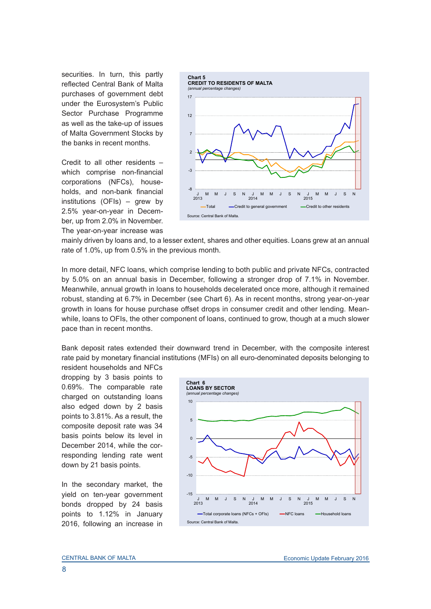securities. In turn, this partly reflected Central Bank of Malta purchases of government debt under the Eurosystem's Public Sector Purchase Programme as well as the take-up of issues of Malta Government Stocks by the banks in recent months.

Credit to all other residents – which comprise non-financial corporations (NFCs), households, and non-bank financial institutions (OFIs) – grew by 2.5% year-on-year in December, up from 2.0% in November. The year-on-year increase was



mainly driven by loans and, to a lesser extent, shares and other equities. Loans grew at an annual rate of 1.0%, up from 0.5% in the previous month.

In more detail, NFC loans, which comprise lending to both public and private NFCs, contracted by 5.0% on an annual basis in December, following a stronger drop of 7.1% in November. Meanwhile, annual growth in loans to households decelerated once more, although it remained robust, standing at 6.7% in December (see Chart 6). As in recent months, strong year-on-year growth in loans for house purchase offset drops in consumer credit and other lending. Meanwhile, loans to OFIs, the other component of loans, continued to grow, though at a much slower pace than in recent months.

Bank deposit rates extended their downward trend in December, with the composite interest rate paid by monetary financial institutions (MFIs) on all euro-denominated deposits belonging to

resident households and NFCs dropping by 3 basis points to 0.69%. The comparable rate charged on outstanding loans also edged down by 2 basis points to 3.81%. As a result, the composite deposit rate was 34 basis points below its level in December 2014, while the corresponding lending rate went down by 21 basis points.

In the secondary market, the yield on ten-year government bonds dropped by 24 basis points to 1.12% in January 2016, following an increase in

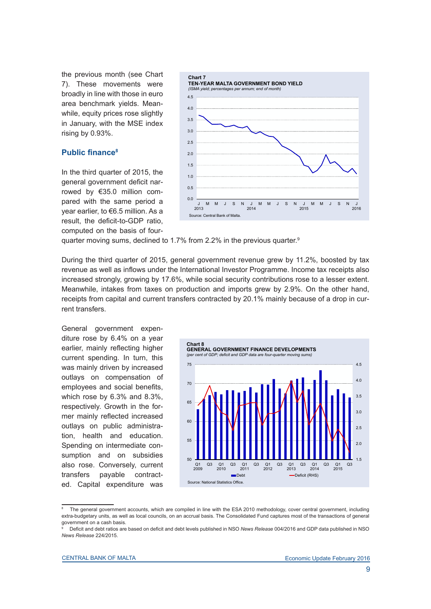the previous month (see Chart 7). These movements were broadly in line with those in euro area benchmark yields. Meanwhile, equity prices rose slightly in January, with the MSE index rising by 0.93%.

## **Public finance<sup>8</sup>**

In the third quarter of 2015, the general government deficit narrowed by €35.0 million compared with the same period a year earlier, to €6.5 million. As a result, the deficit-to-GDP ratio, computed on the basis of four-



quarter moving sums, declined to 1.7% from 2.2% in the previous quarter.<sup>9</sup>

During the third quarter of 2015, general government revenue grew by 11.2%, boosted by tax revenue as well as inflows under the International Investor Programme. Income tax receipts also increased strongly, growing by 17.6%, while social security contributions rose to a lesser extent. Meanwhile, intakes from taxes on production and imports grew by 2.9%. On the other hand, receipts from capital and current transfers contracted by 20.1% mainly because of a drop in current transfers.

General government expenditure rose by 6.4% on a year earlier, mainly reflecting higher current spending. In turn, this was mainly driven by increased outlays on compensation of employees and social benefits, which rose by 6.3% and 8.3%, respectively. Growth in the former mainly reflected increased outlays on public administration, health and education. Spending on intermediate consumption and on subsidies also rose. Conversely, current transfers payable contracted. Capital expenditure was



<sup>8</sup> The general government accounts, which are compiled in line with the ESA 2010 methodology, cover central government, including extra-budgetary units, as well as local councils, on an accrual basis. The Consolidated Fund captures most of the transactions of general government on a cash basis.

<sup>9</sup> Deficit and debt ratios are based on deficit and debt levels published in NSO *News Release* 004/2016 and GDP data published in NSO *News Release* 224/2015.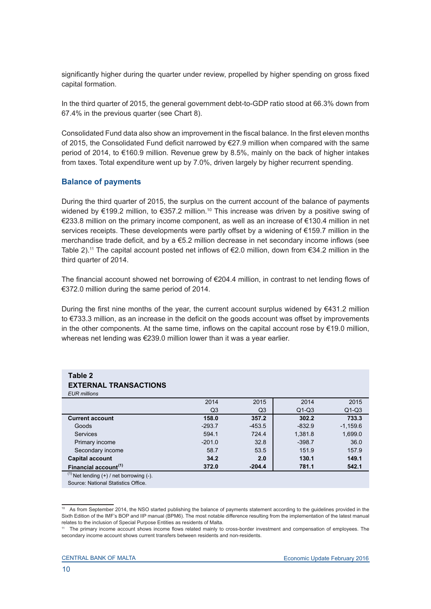significantly higher during the quarter under review, propelled by higher spending on gross fixed capital formation.

In the third quarter of 2015, the general government debt-to-GDP ratio stood at 66.3% down from 67.4% in the previous quarter (see Chart 8).

Consolidated Fund data also show an improvement in the fiscal balance. In the first eleven months of 2015, the Consolidated Fund deficit narrowed by €27.9 million when compared with the same period of 2014, to €160.9 million. Revenue grew by 8.5%, mainly on the back of higher intakes from taxes. Total expenditure went up by 7.0%, driven largely by higher recurrent spending.

## **Balance of payments**

During the third quarter of 2015, the surplus on the current account of the balance of payments widened by €199.2 million, to €357.2 million.<sup>10</sup> This increase was driven by a positive swing of €233.8 million on the primary income component, as well as an increase of €130.4 million in net services receipts. These developments were partly offset by a widening of €159.7 million in the merchandise trade deficit, and by a  $\epsilon$ 5.2 million decrease in net secondary income inflows (see Table 2).<sup>11</sup> The capital account posted net inflows of €2.0 million, down from €34.2 million in the third quarter of 2014.

The financial account showed net borrowing of €204.4 million, in contrast to net lending flows of €372.0 million during the same period of 2014.

During the first nine months of the year, the current account surplus widened by €431.2 million to €733.3 million, as an increase in the deficit on the goods account was offset by improvements in the other components. At the same time, inflows on the capital account rose by €19.0 million, whereas net lending was €239.0 million lower than it was a year earlier.

| Table 2<br><b>EXTERNAL TRANSACTIONS</b>         |                |                |          |            |
|-------------------------------------------------|----------------|----------------|----------|------------|
| <b>EUR</b> millions                             |                |                |          |            |
|                                                 | 2014           | 2015           | 2014     | 2015       |
|                                                 | Q <sub>3</sub> | Q <sub>3</sub> | $Q1-Q3$  | $Q1-Q3$    |
| <b>Current account</b>                          | 158.0          | 357.2          | 302.2    | 733.3      |
| Goods                                           | $-293.7$       | $-453.5$       | $-832.9$ | $-1.159.6$ |
| <b>Services</b>                                 | 594.1          | 724.4          | 1.381.8  | 1,699.0    |
| Primary income                                  | $-201.0$       | 32.8           | $-398.7$ | 36.0       |
| Secondary income                                | 58.7           | 53.5           | 151.9    | 157.9      |
| <b>Capital account</b>                          | 34.2           | 2.0            | 130.1    | 149.1      |
| Financial account <sup>(1)</sup>                | 372.0          | $-204.4$       | 781.1    | 542.1      |
| $(1)$ Net lending $(+)$ / net borrowing $(-)$ . |                |                |          |            |

Source: National Statistics Office.

<sup>10</sup> As from September 2014, the NSO started publishing the balance of payments statement according to the guidelines provided in the Sixth Edition of the IMF's BOP and IIP manual (BPM6). The most notable difference resulting from the implementation of the latest manual relates to the inclusion of Special Purpose Entities as residents of Malta.

<sup>11</sup> The primary income account shows income flows related mainly to cross-border investment and compensation of employees. The secondary income account shows current transfers between residents and non-residents.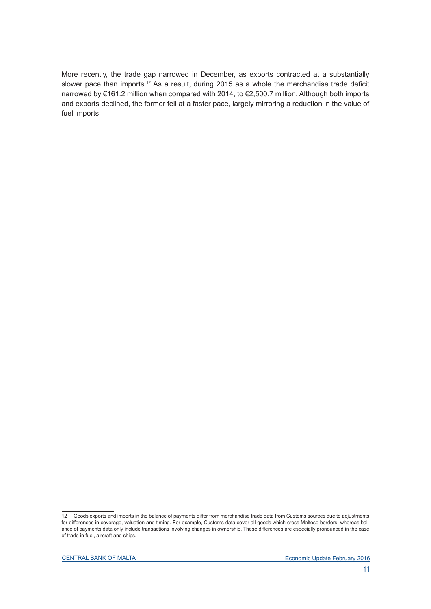More recently, the trade gap narrowed in December, as exports contracted at a substantially slower pace than imports.<sup>12</sup> As a result, during 2015 as a whole the merchandise trade deficit narrowed by €161.2 million when compared with 2014, to €2,500.7 million. Although both imports and exports declined, the former fell at a faster pace, largely mirroring a reduction in the value of fuel imports.

<sup>12</sup> Goods exports and imports in the balance of payments differ from merchandise trade data from Customs sources due to adjustments for differences in coverage, valuation and timing. For example, Customs data cover all goods which cross Maltese borders, whereas balance of payments data only include transactions involving changes in ownership. These differences are especially pronounced in the case of trade in fuel, aircraft and ships.